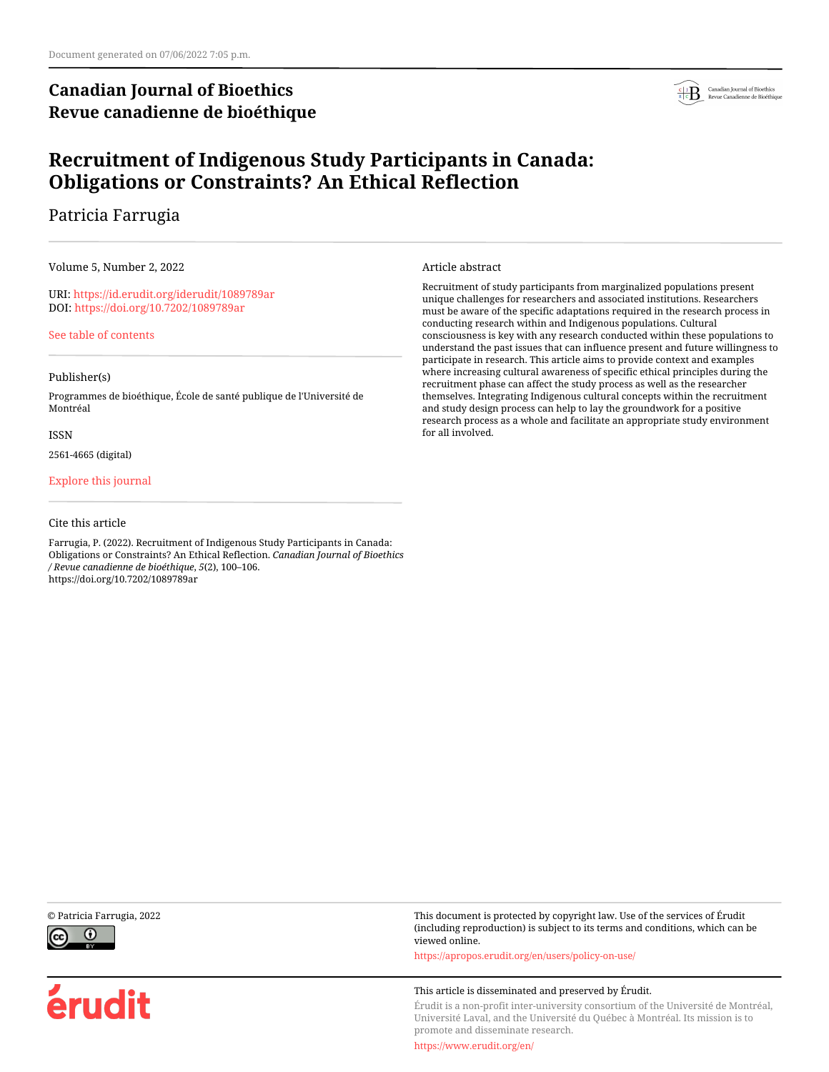## **Canadian Journal of Bioethics Revue canadienne de bioéthique**



## **Recruitment of Indigenous Study Participants in Canada: Obligations or Constraints? An Ethical Reflection**

## Patricia Farrugia

Volume 5, Number 2, 2022

URI:<https://id.erudit.org/iderudit/1089789ar> DOI:<https://doi.org/10.7202/1089789ar>

[See table of contents](https://www.erudit.org/en/journals/bioethics/2022-v5-n2-bioethics07048/)

### Publisher(s)

Programmes de bioéthique, École de santé publique de l'Université de Montréal

#### ISSN

2561-4665 (digital)

### [Explore this journal](https://www.erudit.org/en/journals/bioethics/)

### Cite this article

Farrugia, P. (2022). Recruitment of Indigenous Study Participants in Canada: Obligations or Constraints? An Ethical Reflection. *Canadian Journal of Bioethics / Revue canadienne de bioéthique*, *5*(2), 100–106. https://doi.org/10.7202/1089789ar

#### Article abstract

Recruitment of study participants from marginalized populations present unique challenges for researchers and associated institutions. Researchers must be aware of the specific adaptations required in the research process in conducting research within and Indigenous populations. Cultural consciousness is key with any research conducted within these populations to understand the past issues that can influence present and future willingness to participate in research. This article aims to provide context and examples where increasing cultural awareness of specific ethical principles during the recruitment phase can affect the study process as well as the researcher themselves. Integrating Indigenous cultural concepts within the recruitment and study design process can help to lay the groundwork for a positive research process as a whole and facilitate an appropriate study environment for all involved.



érudit

© Patricia Farrugia, 2022 This document is protected by copyright law. Use of the services of Érudit (including reproduction) is subject to its terms and conditions, which can be viewed online.

<https://apropos.erudit.org/en/users/policy-on-use/>

#### This article is disseminated and preserved by Érudit.

Érudit is a non-profit inter-university consortium of the Université de Montréal, Université Laval, and the Université du Québec à Montréal. Its mission is to promote and disseminate research.

<https://www.erudit.org/en/>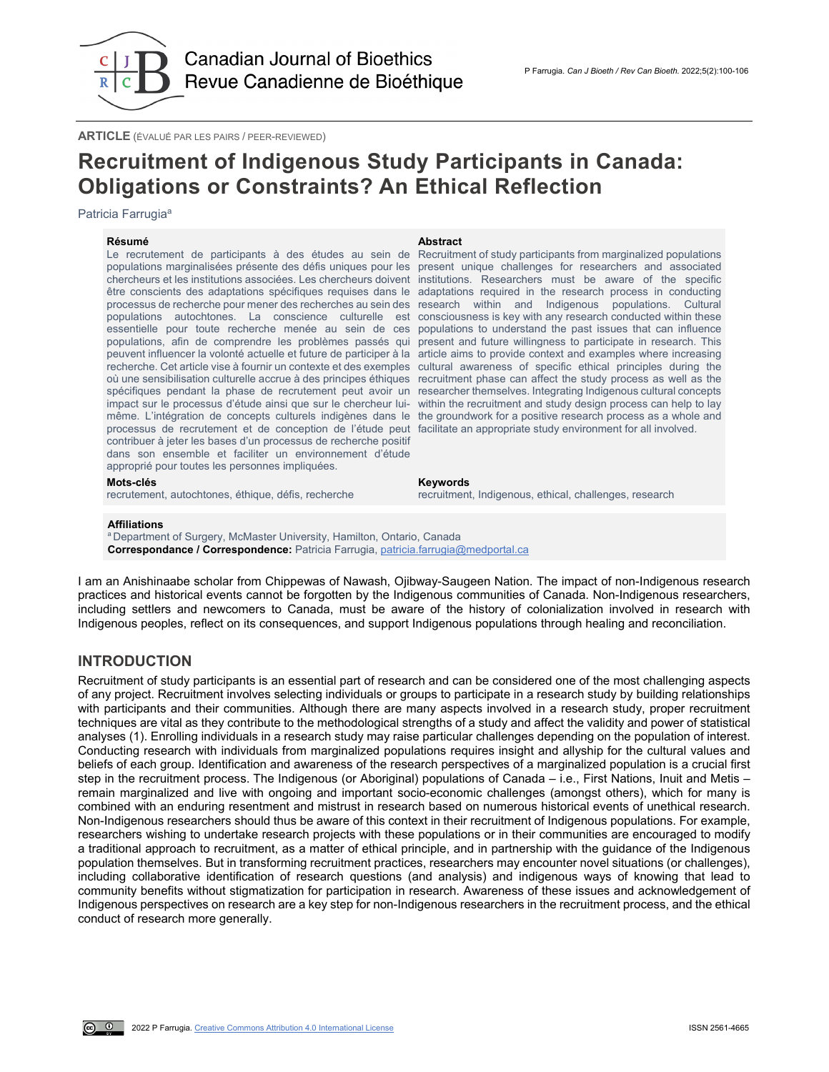

**ARTICLE** (ÉVALUÉ PAR LES PAIRS / PEER-REVIEWED)

# **Recruitment of Indigenous Study Participants in Canada: Obligations or Constraints? An Ethical Reflection**

Patricia Farrugia<sup>a</sup>

#### **Résumé Abstract**

Le recrutement de participants à des études au sein de populations marginalisées présente des défis uniques pour les chercheurs et les institutions associées. Les chercheurs doivent être conscients des adaptations spécifiques requises dans le adaptations required in the research process in conducting processus de recherche pour mener des recherches au sein des research within and Indigenous populations. Cultural populations autochtones. La conscience culturelle est consciousness is key with any research conducted within these essentielle pour toute recherche menée au sein de ces populations, afin de comprendre les problèmes passés qui peuvent influencer la volonté actuelle et future de participer à la recherche. Cet article vise à fournir un contexte et des exemples où une sensibilisation culturelle accrue à des principes éthiques spécifiques pendant la phase de recrutement peut avoir un impact sur le processus d'étude ainsi que sur le chercheur luimême. L'intégration de concepts culturels indigènes dans le processus de recrutement et de conception de l'étude peut facilitate an appropriate study environment for all involved. contribuer à jeter les bases d'un processus de recherche positif dans son ensemble et faciliter un environnement d'étude approprié pour toutes les personnes impliquées.

Recruitment of study participants from marginalized populations present unique challenges for researchers and associated institutions. Researchers must be aware of the specific populations to understand the past issues that can influence present and future willingness to participate in research. This article aims to provide context and examples where increasing cultural awareness of specific ethical principles during the recruitment phase can affect the study process as well as the researcher themselves. Integrating Indigenous cultural concepts within the recruitment and study design process can help to lay the groundwork for a positive research process as a whole and

#### **Mots-clés Keywords**

recrutement, autochtones, éthique, défis, recherche recruitment, Indigenous, ethical, challenges, research

#### **Affiliations**

<sup>a</sup> Department of Surgery, McMaster University, Hamilton, Ontario, Canada **Correspondance / Correspondence:** Patricia Farrugia[, patricia.farrugia@medportal.ca](mailto:patricia.farrugia@medportal.ca)

I am an Anishinaabe scholar from Chippewas of Nawash, Ojibway-Saugeen Nation. The impact of non-Indigenous research practices and historical events cannot be forgotten by the Indigenous communities of Canada. Non-Indigenous researchers, including settlers and newcomers to Canada, must be aware of the history of colonialization involved in research with Indigenous peoples, reflect on its consequences, and support Indigenous populations through healing and reconciliation.

### **INTRODUCTION**

Recruitment of study participants is an essential part of research and can be considered one of the most challenging aspects of any project. Recruitment involves selecting individuals or groups to participate in a research study by building relationships with participants and their communities. Although there are many aspects involved in a research study, proper recruitment techniques are vital as they contribute to the methodological strengths of a study and affect the validity and power of statistical analyses (1). Enrolling individuals in a research study may raise particular challenges depending on the population of interest. Conducting research with individuals from marginalized populations requires insight and allyship for the cultural values and beliefs of each group. Identification and awareness of the research perspectives of a marginalized population is a crucial first step in the recruitment process. The Indigenous (or Aboriginal) populations of Canada – i.e., First Nations, Inuit and Metis – remain marginalized and live with ongoing and important socio-economic challenges (amongst others), which for many is combined with an enduring resentment and mistrust in research based on numerous historical events of unethical research. Non-Indigenous researchers should thus be aware of this context in their recruitment of Indigenous populations. For example, researchers wishing to undertake research projects with these populations or in their communities are encouraged to modify a traditional approach to recruitment, as a matter of ethical principle, and in partnership with the guidance of the Indigenous population themselves. But in transforming recruitment practices, researchers may encounter novel situations (or challenges), including collaborative identification of research questions (and analysis) and indigenous ways of knowing that lead to community benefits without stigmatization for participation in research. Awareness of these issues and acknowledgement of Indigenous perspectives on research are a key step for non-Indigenous researchers in the recruitment process, and the ethical conduct of research more generally.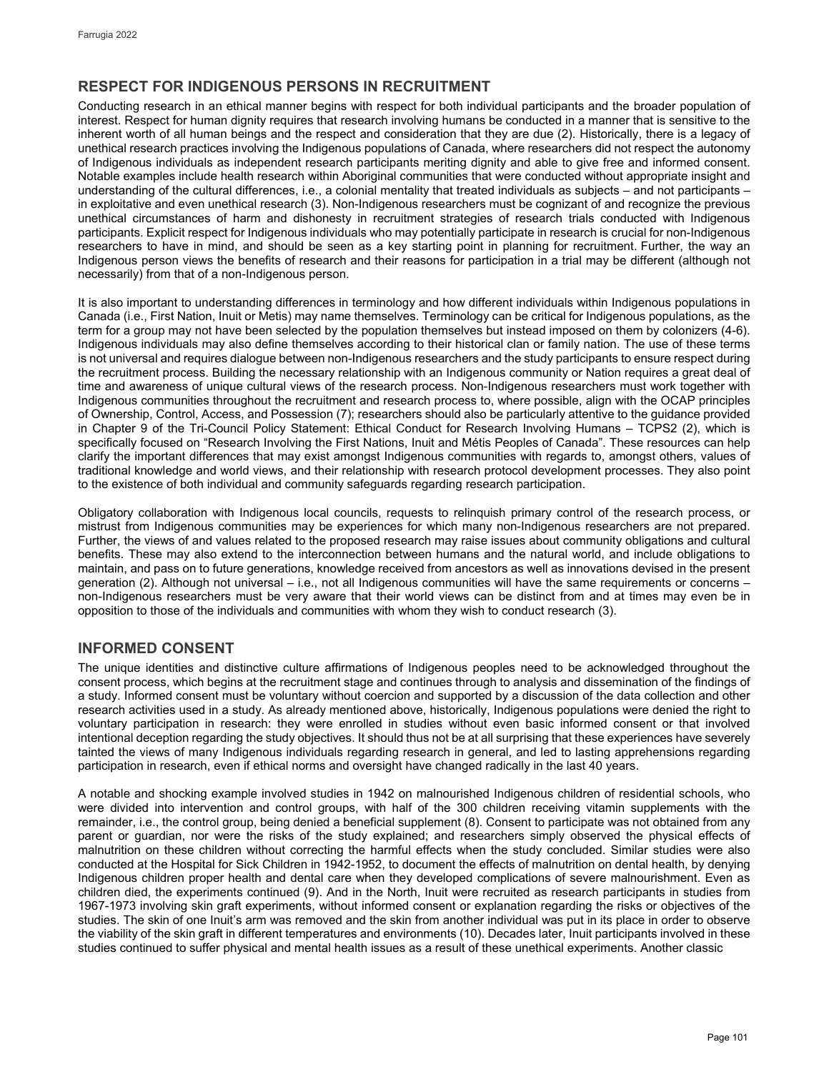## **RESPECT FOR INDIGENOUS PERSONS IN RECRUITMENT**

Conducting research in an ethical manner begins with respect for both individual participants and the broader population of interest. Respect for human dignity requires that research involving humans be conducted in a manner that is sensitive to the inherent worth of all human beings and the respect and consideration that they are due (2). Historically, there is a legacy of unethical research practices involving the Indigenous populations of Canada, where researchers did not respect the autonomy of Indigenous individuals as independent research participants meriting dignity and able to give free and informed consent. Notable examples include health research within Aboriginal communities that were conducted without appropriate insight and understanding of the cultural differences, i.e., a colonial mentality that treated individuals as subjects – and not participants – in exploitative and even unethical research (3). Non-Indigenous researchers must be cognizant of and recognize the previous unethical circumstances of harm and dishonesty in recruitment strategies of research trials conducted with Indigenous participants. Explicit respect for Indigenous individuals who may potentially participate in research is crucial for non-Indigenous researchers to have in mind, and should be seen as a key starting point in planning for recruitment. Further, the way an Indigenous person views the benefits of research and their reasons for participation in a trial may be different (although not necessarily) from that of a non-Indigenous person.

It is also important to understanding differences in terminology and how different individuals within Indigenous populations in Canada (i.e., First Nation, Inuit or Metis) may name themselves. Terminology can be critical for Indigenous populations, as the term for a group may not have been selected by the population themselves but instead imposed on them by colonizers (4-6). Indigenous individuals may also define themselves according to their historical clan or family nation. The use of these terms is not universal and requires dialogue between non-Indigenous researchers and the study participants to ensure respect during the recruitment process. Building the necessary relationship with an Indigenous community or Nation requires a great deal of time and awareness of unique cultural views of the research process. Non-Indigenous researchers must work together with Indigenous communities throughout the recruitment and research process to, where possible, align with the OCAP principles of Ownership, Control, Access, and Possession (7); researchers should also be particularly attentive to the guidance provided in Chapter 9 of the Tri-Council Policy Statement: Ethical Conduct for Research Involving Humans – TCPS2 (2), which is specifically focused on "Research Involving the First Nations, Inuit and Métis Peoples of Canada". These resources can help clarify the important differences that may exist amongst Indigenous communities with regards to, amongst others, values of traditional knowledge and world views, and their relationship with research protocol development processes. They also point to the existence of both individual and community safeguards regarding research participation.

Obligatory collaboration with Indigenous local councils, requests to relinquish primary control of the research process, or mistrust from Indigenous communities may be experiences for which many non-Indigenous researchers are not prepared. Further, the views of and values related to the proposed research may raise issues about community obligations and cultural benefits. These may also extend to the interconnection between humans and the natural world, and include obligations to maintain, and pass on to future generations, knowledge received from ancestors as well as innovations devised in the present generation (2). Although not universal – i.e., not all Indigenous communities will have the same requirements or concerns – non-Indigenous researchers must be very aware that their world views can be distinct from and at times may even be in opposition to those of the individuals and communities with whom they wish to conduct research (3).

## **INFORMED CONSENT**

The unique identities and distinctive culture affirmations of Indigenous peoples need to be acknowledged throughout the consent process, which begins at the recruitment stage and continues through to analysis and dissemination of the findings of a study. Informed consent must be voluntary without coercion and supported by a discussion of the data collection and other research activities used in a study. As already mentioned above, historically, Indigenous populations were denied the right to voluntary participation in research: they were enrolled in studies without even basic informed consent or that involved intentional deception regarding the study objectives. It should thus not be at all surprising that these experiences have severely tainted the views of many Indigenous individuals regarding research in general, and led to lasting apprehensions regarding participation in research, even if ethical norms and oversight have changed radically in the last 40 years.

A notable and shocking example involved studies in 1942 on malnourished Indigenous children of residential schools, who were divided into intervention and control groups, with half of the 300 children receiving vitamin supplements with the remainder, i.e., the control group, being denied a beneficial supplement (8). Consent to participate was not obtained from any parent or guardian, nor were the risks of the study explained; and researchers simply observed the physical effects of malnutrition on these children without correcting the harmful effects when the study concluded. Similar studies were also conducted at the Hospital for Sick Children in 1942-1952, to document the effects of malnutrition on dental health, by denying Indigenous children proper health and dental care when they developed complications of severe malnourishment. Even as children died, the experiments continued (9). And in the North, Inuit were recruited as research participants in studies from 1967-1973 involving skin graft experiments, without informed consent or explanation regarding the risks or objectives of the studies. The skin of one Inuit's arm was removed and the skin from another individual was put in its place in order to observe the viability of the skin graft in different temperatures and environments (10). Decades later, Inuit participants involved in these studies continued to suffer physical and mental health issues as a result of these unethical experiments. Another classic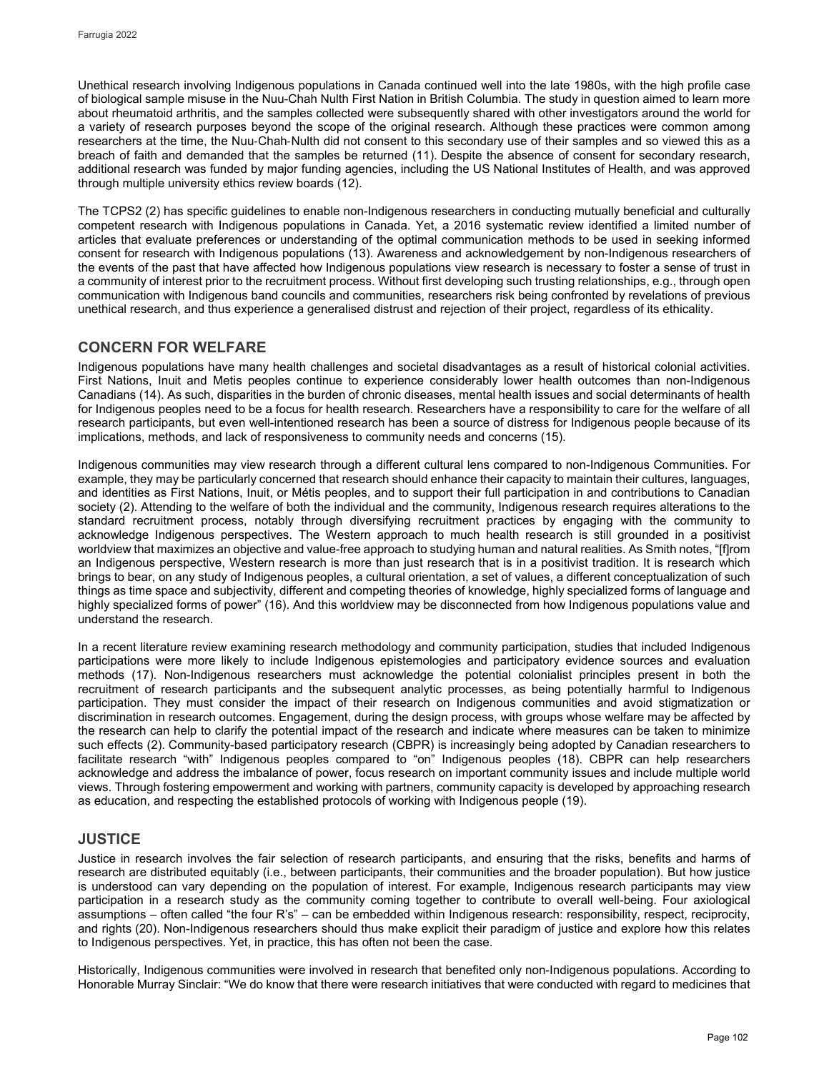Unethical research involving Indigenous populations in Canada continued well into the late 1980s, with the high profile case of biological sample misuse in the Nuu-Chah Nulth First Nation in British Columbia. The study in question aimed to learn more about rheumatoid arthritis, and the samples collected were subsequently shared with other investigators around the world for a variety of research purposes beyond the scope of the original research. Although these practices were common among researchers at the time, the Nuu‐Chah‐Nulth did not consent to this secondary use of their samples and so viewed this as a breach of faith and demanded that the samples be returned (11). Despite the absence of consent for secondary research, additional research was funded by major funding agencies, including the US National Institutes of Health, and was approved through multiple university ethics review boards (12).

The TCPS2 (2) has specific guidelines to enable non-Indigenous researchers in conducting mutually beneficial and culturally competent research with Indigenous populations in Canada. Yet, a 2016 systematic review identified a limited number of articles that evaluate preferences or understanding of the optimal communication methods to be used in seeking informed consent for research with Indigenous populations (13). Awareness and acknowledgement by non-Indigenous researchers of the events of the past that have affected how Indigenous populations view research is necessary to foster a sense of trust in a community of interest prior to the recruitment process. Without first developing such trusting relationships, e.g., through open communication with Indigenous band councils and communities, researchers risk being confronted by revelations of previous unethical research, and thus experience a generalised distrust and rejection of their project, regardless of its ethicality.

## **CONCERN FOR WELFARE**

Indigenous populations have many health challenges and societal disadvantages as a result of historical colonial activities. First Nations, Inuit and Metis peoples continue to experience considerably lower health outcomes than non-Indigenous Canadians (14). As such, disparities in the burden of chronic diseases, mental health issues and social determinants of health for Indigenous peoples need to be a focus for health research. Researchers have a responsibility to care for the welfare of all research participants, but even well-intentioned research has been a source of distress for Indigenous people because of its implications, methods, and lack of responsiveness to community needs and concerns (15).

Indigenous communities may view research through a different cultural lens compared to non-Indigenous Communities. For example, they may be particularly concerned that research should enhance their capacity to maintain their cultures, languages, and identities as First Nations, Inuit, or Métis peoples, and to support their full participation in and contributions to Canadian society (2). Attending to the welfare of both the individual and the community, Indigenous research requires alterations to the standard recruitment process, notably through diversifying recruitment practices by engaging with the community to acknowledge Indigenous perspectives. The Western approach to much health research is still grounded in a positivist worldview that maximizes an objective and value-free approach to studying human and natural realities. As Smith notes, "[f]rom an Indigenous perspective, Western research is more than just research that is in a positivist tradition. It is research which brings to bear, on any study of Indigenous peoples, a cultural orientation, a set of values, a different conceptualization of such things as time space and subjectivity, different and competing theories of knowledge, highly specialized forms of language and highly specialized forms of power" (16). And this worldview may be disconnected from how Indigenous populations value and understand the research.

In a recent literature review examining research methodology and community participation, studies that included Indigenous participations were more likely to include Indigenous epistemologies and participatory evidence sources and evaluation methods (17). Non-Indigenous researchers must acknowledge the potential colonialist principles present in both the recruitment of research participants and the subsequent analytic processes, as being potentially harmful to Indigenous participation. They must consider the impact of their research on Indigenous communities and avoid stigmatization or discrimination in research outcomes. Engagement, during the design process, with groups whose welfare may be affected by the research can help to clarify the potential impact of the research and indicate where measures can be taken to minimize such effects (2). Community-based participatory research (CBPR) is increasingly being adopted by Canadian researchers to facilitate research "with" Indigenous peoples compared to "on" Indigenous peoples (18). CBPR can help researchers acknowledge and address the imbalance of power, focus research on important community issues and include multiple world views. Through fostering empowerment and working with partners, community capacity is developed by approaching research as education, and respecting the established protocols of working with Indigenous people (19).

## **JUSTICE**

Justice in research involves the fair selection of research participants, and ensuring that the risks, benefits and harms of research are distributed equitably (i.e., between participants, their communities and the broader population). But how justice is understood can vary depending on the population of interest. For example, Indigenous research participants may view participation in a research study as the community coming together to contribute to overall well-being. Four axiological assumptions – often called "the four R's" – can be embedded within Indigenous research: responsibility, respect, reciprocity, and rights (20). Non-Indigenous researchers should thus make explicit their paradigm of justice and explore how this relates to Indigenous perspectives. Yet, in practice, this has often not been the case.

Historically, Indigenous communities were involved in research that benefited only non-Indigenous populations. According to Honorable Murray Sinclair: "We do know that there were research initiatives that were conducted with regard to medicines that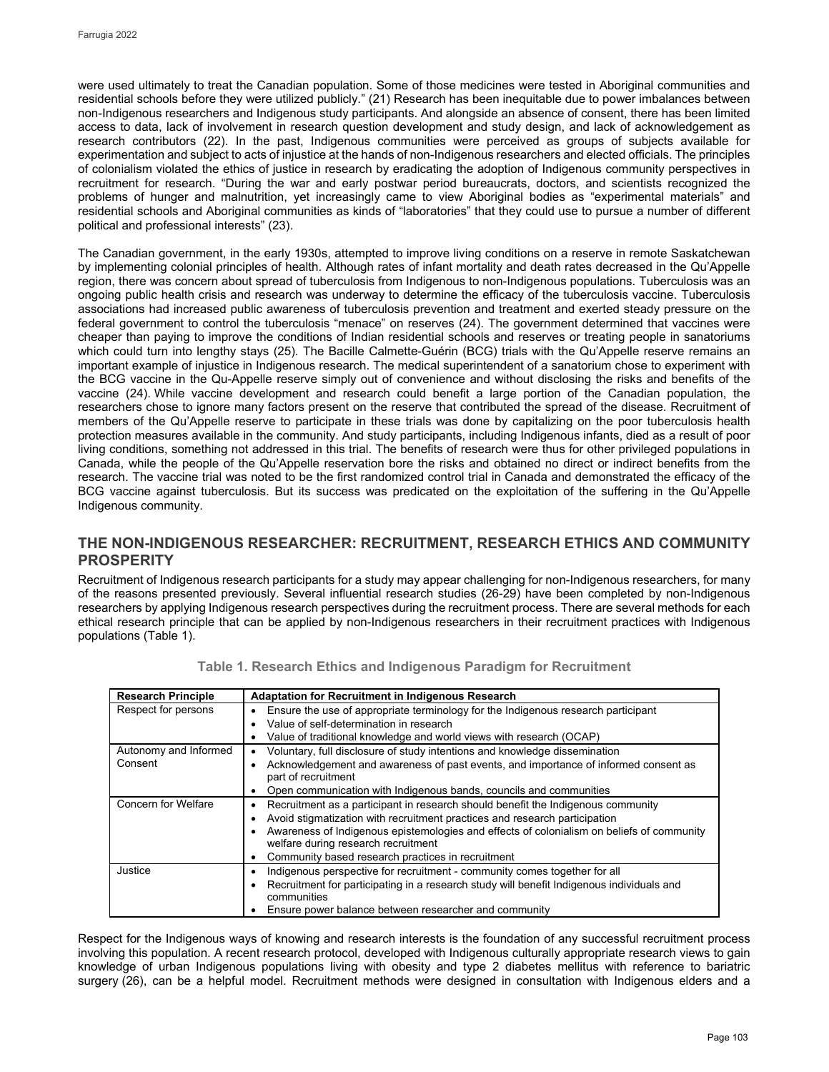were used ultimately to treat the Canadian population. Some of those medicines were tested in Aboriginal communities and residential schools before they were utilized publicly." (21) Research has been inequitable due to power imbalances between non-Indigenous researchers and Indigenous study participants. And alongside an absence of consent, there has been limited access to data, lack of involvement in research question development and study design, and lack of acknowledgement as research contributors (22). In the past, Indigenous communities were perceived as groups of subjects available for experimentation and subject to acts of injustice at the hands of non-Indigenous researchers and elected officials. The principles of colonialism violated the ethics of justice in research by eradicating the adoption of Indigenous community perspectives in recruitment for research. "During the war and early postwar period bureaucrats, doctors, and scientists recognized the problems of hunger and malnutrition, yet increasingly came to view Aboriginal bodies as "experimental materials" and residential schools and Aboriginal communities as kinds of "laboratories" that they could use to pursue a number of different political and professional interests" (23).

The Canadian government, in the early 1930s, attempted to improve living conditions on a reserve in remote Saskatchewan by implementing colonial principles of health. Although rates of infant mortality and death rates decreased in the Qu'Appelle region, there was concern about spread of tuberculosis from Indigenous to non-Indigenous populations. Tuberculosis was an ongoing public health crisis and research was underway to determine the efficacy of the tuberculosis vaccine. Tuberculosis associations had increased public awareness of tuberculosis prevention and treatment and exerted steady pressure on the federal government to control the tuberculosis "menace" on reserves (24). The government determined that vaccines were cheaper than paying to improve the conditions of Indian residential schools and reserves or treating people in sanatoriums which could turn into lengthy stays (25). The Bacille Calmette-Guérin (BCG) trials with the Qu'Appelle reserve remains an important example of injustice in Indigenous research. The medical superintendent of a sanatorium chose to experiment with the BCG vaccine in the Qu-Appelle reserve simply out of convenience and without disclosing the risks and benefits of the vaccine (24). While vaccine development and research could benefit a large portion of the Canadian population, the researchers chose to ignore many factors present on the reserve that contributed the spread of the disease. Recruitment of members of the Qu'Appelle reserve to participate in these trials was done by capitalizing on the poor tuberculosis health protection measures available in the community. And study participants, including Indigenous infants, died as a result of poor living conditions, something not addressed in this trial. The benefits of research were thus for other privileged populations in Canada, while the people of the Qu'Appelle reservation bore the risks and obtained no direct or indirect benefits from the research. The vaccine trial was noted to be the first randomized control trial in Canada and demonstrated the efficacy of the BCG vaccine against tuberculosis. But its success was predicated on the exploitation of the suffering in the Qu'Appelle Indigenous community.

## **THE NON-INDIGENOUS RESEARCHER: RECRUITMENT, RESEARCH ETHICS AND COMMUNITY PROSPERITY**

Recruitment of Indigenous research participants for a study may appear challenging for non-Indigenous researchers, for many of the reasons presented previously. Several influential research studies (26-29) have been completed by non-Indigenous researchers by applying Indigenous research perspectives during the recruitment process. There are several methods for each ethical research principle that can be applied by non-Indigenous researchers in their recruitment practices with Indigenous populations (Table 1).

| <b>Research Principle</b> | <b>Adaptation for Recruitment in Indigenous Research</b>                                               |  |  |  |  |
|---------------------------|--------------------------------------------------------------------------------------------------------|--|--|--|--|
| Respect for persons       | Ensure the use of appropriate terminology for the Indigenous research participant<br>٠                 |  |  |  |  |
|                           | Value of self-determination in research<br>$\bullet$                                                   |  |  |  |  |
|                           | Value of traditional knowledge and world views with research (OCAP)<br>٠                               |  |  |  |  |
| Autonomy and Informed     | Voluntary, full disclosure of study intentions and knowledge dissemination<br>٠                        |  |  |  |  |
| Consent                   | Acknowledgement and awareness of past events, and importance of informed consent as<br>$\bullet$       |  |  |  |  |
|                           | part of recruitment                                                                                    |  |  |  |  |
|                           | Open communication with Indigenous bands, councils and communities<br>٠                                |  |  |  |  |
| Concern for Welfare       | Recruitment as a participant in research should benefit the Indigenous community<br>٠                  |  |  |  |  |
|                           | Avoid stigmatization with recruitment practices and research participation                             |  |  |  |  |
|                           | Awareness of Indigenous epistemologies and effects of colonialism on beliefs of community<br>٠         |  |  |  |  |
|                           | welfare during research recruitment                                                                    |  |  |  |  |
|                           | Community based research practices in recruitment<br>٠                                                 |  |  |  |  |
| Justice                   | Indigenous perspective for recruitment - community comes together for all                              |  |  |  |  |
|                           | Recruitment for participating in a research study will benefit Indigenous individuals and<br>$\bullet$ |  |  |  |  |
|                           | communities                                                                                            |  |  |  |  |
|                           | Ensure power balance between researcher and community                                                  |  |  |  |  |

| Table 1. Research Ethics and Indigenous Paradigm for Recruitment |  |  |  |  |  |  |
|------------------------------------------------------------------|--|--|--|--|--|--|
|------------------------------------------------------------------|--|--|--|--|--|--|

Respect for the Indigenous ways of knowing and research interests is the foundation of any successful recruitment process involving this population. A recent research protocol, developed with Indigenous culturally appropriate research views to gain knowledge of urban Indigenous populations living with obesity and type 2 diabetes mellitus with reference to bariatric surgery (26), can be a helpful model. Recruitment methods were designed in consultation with Indigenous elders and a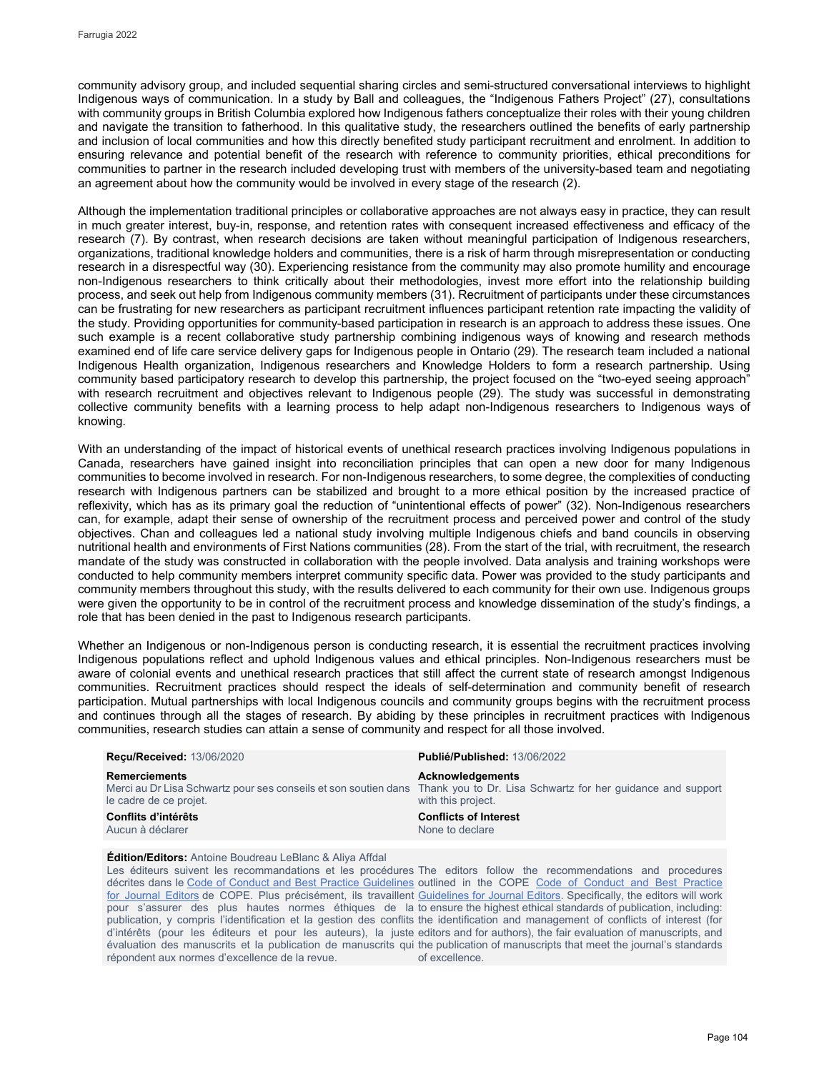community advisory group, and included sequential sharing circles and semi-structured conversational interviews to highlight Indigenous ways of communication. In a study by Ball and colleagues, the "Indigenous Fathers Project" (27), consultations with community groups in British Columbia explored how Indigenous fathers conceptualize their roles with their young children and navigate the transition to fatherhood. In this qualitative study, the researchers outlined the benefits of early partnership and inclusion of local communities and how this directly benefited study participant recruitment and enrolment. In addition to ensuring relevance and potential benefit of the research with reference to community priorities, ethical preconditions for communities to partner in the research included developing trust with members of the university-based team and negotiating an agreement about how the community would be involved in every stage of the research (2).

Although the implementation traditional principles or collaborative approaches are not always easy in practice, they can result in much greater interest, buy-in, response, and retention rates with consequent increased effectiveness and efficacy of the research (7). By contrast, when research decisions are taken without meaningful participation of Indigenous researchers, organizations, traditional knowledge holders and communities, there is a risk of harm through misrepresentation or conducting research in a disrespectful way (30). Experiencing resistance from the community may also promote humility and encourage non-Indigenous researchers to think critically about their methodologies, invest more effort into the relationship building process, and seek out help from Indigenous community members (31). Recruitment of participants under these circumstances can be frustrating for new researchers as participant recruitment influences participant retention rate impacting the validity of the study. Providing opportunities for community-based participation in research is an approach to address these issues. One such example is a recent collaborative study partnership combining indigenous ways of knowing and research methods examined end of life care service delivery gaps for Indigenous people in Ontario (29). The research team included a national Indigenous Health organization, Indigenous researchers and Knowledge Holders to form a research partnership. Using community based participatory research to develop this partnership, the project focused on the "two-eyed seeing approach" with research recruitment and objectives relevant to Indigenous people (29). The study was successful in demonstrating collective community benefits with a learning process to help adapt non-Indigenous researchers to Indigenous ways of knowing.

With an understanding of the impact of historical events of unethical research practices involving Indigenous populations in Canada, researchers have gained insight into reconciliation principles that can open a new door for many Indigenous communities to become involved in research. For non-Indigenous researchers, to some degree, the complexities of conducting research with Indigenous partners can be stabilized and brought to a more ethical position by the increased practice of reflexivity, which has as its primary goal the reduction of "unintentional effects of power" (32). Non-Indigenous researchers can, for example, adapt their sense of ownership of the recruitment process and perceived power and control of the study objectives. Chan and colleagues led a national study involving multiple Indigenous chiefs and band councils in observing nutritional health and environments of First Nations communities (28). From the start of the trial, with recruitment, the research mandate of the study was constructed in collaboration with the people involved. Data analysis and training workshops were conducted to help community members interpret community specific data. Power was provided to the study participants and community members throughout this study, with the results delivered to each community for their own use. Indigenous groups were given the opportunity to be in control of the recruitment process and knowledge dissemination of the study's findings, a role that has been denied in the past to Indigenous research participants.

Whether an Indigenous or non-Indigenous person is conducting research, it is essential the recruitment practices involving Indigenous populations reflect and uphold Indigenous values and ethical principles. Non-Indigenous researchers must be aware of colonial events and unethical research practices that still affect the current state of research amongst Indigenous communities. Recruitment practices should respect the ideals of self-determination and community benefit of research participation. Mutual partnerships with local Indigenous councils and community groups begins with the recruitment process and continues through all the stages of research. By abiding by these principles in recruitment practices with Indigenous communities, research studies can attain a sense of community and respect for all those involved.

| <b>Recu/Received: 13/06/2020</b>               | Publié/Published: 13/06/2022                                                                                                                                          |
|------------------------------------------------|-----------------------------------------------------------------------------------------------------------------------------------------------------------------------|
| <b>Remerciements</b><br>le cadre de ce projet. | Acknowledgements<br>Merci au Dr Lisa Schwartz pour ses conseils et son soutien dans Thank you to Dr. Lisa Schwartz for her quidance and support<br>with this project. |
| Conflits d'intérêts<br>Aucun à déclarer        | <b>Conflicts of Interest</b><br>None to declare                                                                                                                       |

#### **Édition/Editors:** Antoine Boudreau LeBlanc & Aliya Affdal

Les éditeurs suivent les recommandations et les procédures The editors follow the recommendations and procedures décrites dans le [Code of Conduct and Best Practice Guidelines](http://publicationethics.org/resources/code-conduct) outlined in the COPE Code of Conduct and Best Practice [for Journal Editors](http://publicationethics.org/resources/code-conduct) de COPE. Plus précisément, ils travaillent [Guidelines for Journal Editors.](http://publicationethics.org/resources/code-conduct) Specifically, the editors will work pour s'assurer des plus hautes normes éthiques de la to ensure the highest ethical standards of publication, including: publication, y compris l'identification et la gestion des conflits the identification and management of conflicts of interest (for d'intérêts (pour les éditeurs et pour les auteurs), la juste editors and for authors), the fair evaluation of manuscripts, and évaluation des manuscrits et la publication de manuscrits qui the publication of manuscripts that meet the journal's standards répondent aux normes d'excellence de la revue.

of excellence.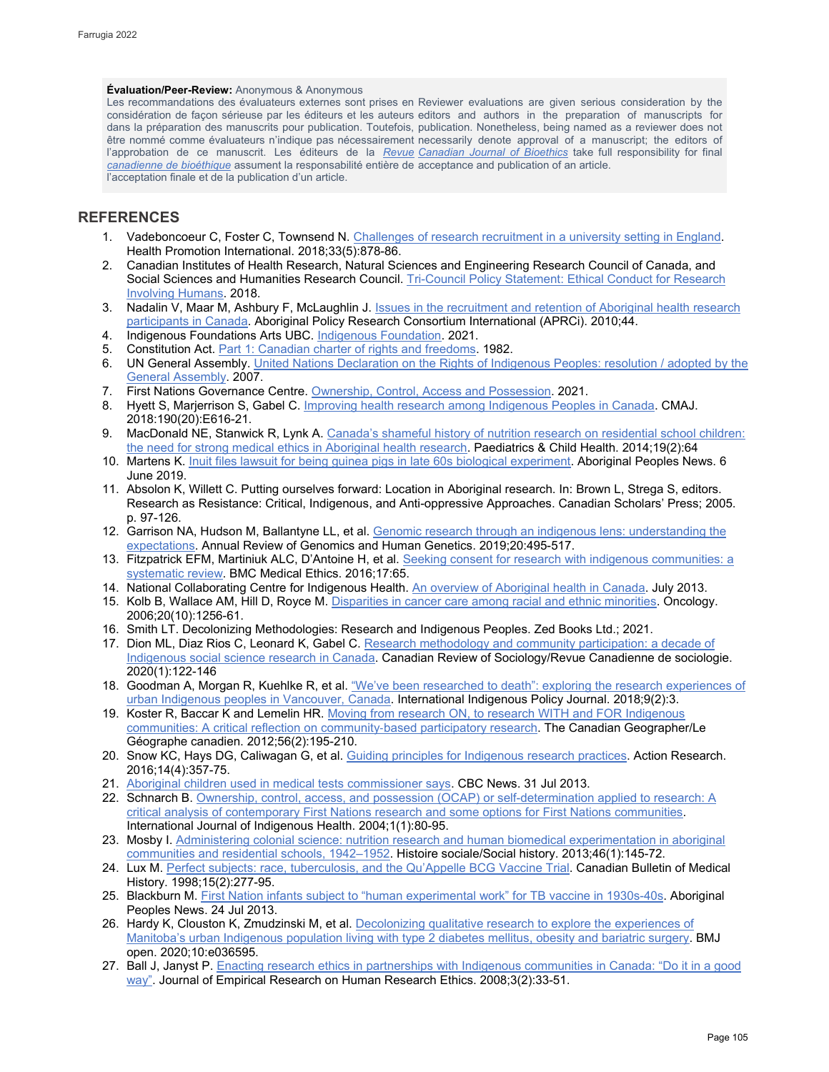### **Évaluation/Peer-Review:** Anonymous & Anonymous

Les recommandations des évaluateurs externes sont prises en Reviewer evaluations are given serious consideration by the considération de façon sérieuse par les éditeurs et les auteurs editors and authors in the preparation of manuscripts for dans la préparation des manuscrits pour publication. Toutefois, publication. Nonetheless, being named as a reviewer does not être nommé comme évaluateurs n'indique pas nécessairement necessarily denote approval of a manuscript; the editors of l'approbation de ce manuscrit. Les éditeurs de la <u>*Revue* [Canadian Journal of Bioethics](http://cjb-rcb.ca/)</u> take full responsibility for final *[canadienne de bioéthique](http://cjb-rcb.ca/)* assument la responsabilité entière de acceptance and publication of an article. l'acceptation finale et de la publication d'un article.

## **REFERENCES**

- 1. Vadeboncoeur C, Foster C, Townsend N. [Challenges of research recruitment in a university setting in England.](https://academic.oup.com/heapro/article/33/5/878/3836948) Health Promotion International. 2018;33(5):878-86.
- 2. Canadian Institutes of Health Research, Natural Sciences and Engineering Research Council of Canada, and Social Sciences and Humanities Research Council. Tri-Council Policy Statement: Ethical Conduct for Research [Involving Humans.](https://ethics.gc.ca/eng/policy-politique_tcps2-eptc2_2018.html) 2018.
- 3. Nadalin V, Maar M, Ashbury F, McLaughlin J. [Issues in the recruitment and retention of Aboriginal health research](https://ir.lib.uwo.ca/aprci/44)  [participants](https://ir.lib.uwo.ca/aprci/44) in Canada. Aboriginal Policy Research Consortium International (APRCi). 2010;44.
- 4. Indigenous Foundations Arts UBC[. Indigenous Foundation.](http://indigenousfoundations.arts.ubc.ca/terminology/) 2021.
- 5. Constitution Act[. Part 1: Canadian charter of rights and](https://laws-lois.justice.gc.ca/eng/const/page-12.html) freedoms. 1982.
- 6. UN General Assembly. United Nations Declaration on the Rights of Indigenous Peoples: resolution / adopted by the [General Assembly.](https://www.refworld.org/docid/471355a82.html) 2007.
- 7. First Nations Governance Centre. [Ownership, Control, Access and Possession.](https://fnigc.ca/ocap-training/) 2021.
- 8. Hyett S, Marjerrison S, Gabel C[. Improving health research among Indigenous Peoples in Canada.](https://www.cmaj.ca/content/190/20/E616) CMAJ. 2018:190(20):E616-21.
- 9. MacDonald NE, Stanwick R, Lynk A. Canada's shameful history of nutrition research on residential school children: [the need for strong medical ethics in Aboriginal health research.](https://www.ncbi.nlm.nih.gov/pmc/articles/PMC3941673/) Paediatrics & Child Health. 2014;19(2):64
- 10. Martens K[. Inuit files lawsuit for being guinea pigs in late 60s biological experiment.](https://www.aptnnews.ca/national-news/inuit-file-lawsuit-for-being-human-guinea-pigs-in-late-60s-biological-experiment/) Aboriginal Peoples News. 6 June 2019.
- 11. Absolon K, Willett C. Putting ourselves forward: Location in Aboriginal research. In: Brown L, Strega S, editors. Research as Resistance: Critical, Indigenous, and Anti-oppressive Approaches. Canadian Scholars' Press; 2005. p. 97-126.
- 12. Garrison NA, Hudson M, Ballantyne LL, et al. Genomic research through an indigenous lens: understanding the [expectations.](https://pubmed.ncbi.nlm.nih.gov/30892943/) Annual Review of Genomics and Human Genetics. 2019;20:495-517.
- 13. Fitzpatrick EFM, Martiniuk ALC, D'Antoine H, et al. Seeking consent for research with indigenous communities: a [systematic review.](https://bmcmedethics.biomedcentral.com/articles/10.1186/s12910-016-0139-8) BMC Medical Ethics. 2016;17:65.
- 14. National Collaborating Centre for Indigenous Health[. An overview of Aboriginal health in Canada.](https://www.nccih.ca/495/An_Overview_of_Aboriginal_Health_in_Canada.nccih?id=101) July 2013.
- 15. Kolb B, Wallace AM, Hill D, Royce M. [Disparities in cancer care among racial and ethnic minorities.](https://pubmed.ncbi.nlm.nih.gov/17024873/) Oncology. 2006;20(10):1256-61.
- 16. Smith LT. Decolonizing Methodologies: Research and Indigenous Peoples. Zed Books Ltd.; 2021.
- 17. Dion ML, Diaz Rios C, Leonard K, Gabel C. [Research methodology and community participation:](https://www.semanticscholar.org/paper/Research-Methodology-and-Community-Participation%3A-A-Dion-Rios/d5c23830c1c25092aeb1358715c3c81552e8aae0) a decade of [Indigenous social science research in Canada.](https://www.semanticscholar.org/paper/Research-Methodology-and-Community-Participation%3A-A-Dion-Rios/d5c23830c1c25092aeb1358715c3c81552e8aae0) Canadian Review of Sociology/Revue Canadienne de sociologie. 2020(1):122-146
- 18. Goodman A, Morgan R, Kuehlke R, et al. <u>"We've been researched to death": exploring the research experiences of</u> [urban Indigenous peoples in Vancouver, Canada.](https://ojs.lib.uwo.ca/index.php/iipj/article/view/7545) International Indigenous Policy Journal. 2018;9(2):3.
- 19. Koster R, Baccar K and Lemelin HR. [Moving from research ON, to research WITH and FOR Indigenous](https://onlinelibrary.wiley.com/doi/abs/10.1111/j.1541-0064.2012.00428.x)  [communities: A critical reflection on community](https://onlinelibrary.wiley.com/doi/abs/10.1111/j.1541-0064.2012.00428.x)-based participatory research. The Canadian Geographer/Le Géographe canadien. 2012;56(2):195-210.
- 20. Snow KC, Hays DG, Caliwagan G, et al. [Guiding principles for Indigenous research practices.](https://journals.sagepub.com/doi/10.1177/1476750315622542) Action Research. 2016;14(4):357-75.
- 21. [Aboriginal children used in medical tests commissioner says.](https://www.cbc.ca/news/politics/aboriginal-children-used-in-medical-tests-commissioner-says-1.1318150) CBC News. 31 Jul 2013.
- 22. Schnarch B. [Ownership, control, access, and possession \(OCAP\) or self-determination applied to research: A](https://www.semanticscholar.org/paper/Ownership%2C-Control%2C-Access%2C-and-Possession-(OCAP)-A-Schnarch/3427d6ad229e3eb1ac1267c8d835ed64221b42cc)  [critical analysis of contemporary First Nations research](https://www.semanticscholar.org/paper/Ownership%2C-Control%2C-Access%2C-and-Possession-(OCAP)-A-Schnarch/3427d6ad229e3eb1ac1267c8d835ed64221b42cc) and some options for First Nations communities. International Journal of Indigenous Health. 2004;1(1):80-95.
- 23. Mosby I. [Administering colonial science: nutrition research and human biomedical experimentation in aboriginal](https://muse.jhu.edu/article/512043)  [communities and residential schools, 1942–1952.](https://muse.jhu.edu/article/512043) Histoire sociale/Social history. 2013;46(1):145-72.
- 24. Lux M. [Perfect subjects: race, tuberculosis, and the Qu'Appelle BCG Vaccine Trial.](https://pubmed.ncbi.nlm.nih.gov/11624067/) Canadian Bulletin of Medical History. 1998;15(2):277-95.
- 25. Blackburn M[. First Nation infants subject to "human experimental work" for TB vaccine in 1930s-40s.](https://www.aptnnews.ca/national-news/first-nation-infants-subject-to-human-experimental-work-for-tb-vaccine-in-1930s-40s/) Aboriginal Peoples News. 24 Jul 2013.
- 26. Hardy K, Clouston K, Zmudzinski M, et al. Decolonizing qualitative research to explore the experiences of [Manitoba's urban Indigenous population living with type 2 diabetes mellitus, obesity and bariatric surgery.](https://bmjopen.bmj.com/content/10/10/e036595) BMJ open. 2020;10:e036595.
- 27. Ball J, Janyst P. Enacting research ethics in partnerships with Indigenous communities in Canada: "Do it in a good [way".](https://pubmed.ncbi.nlm.nih.gov/19385744/) Journal of Empirical Research on Human Research Ethics. 2008;3(2):33-51.